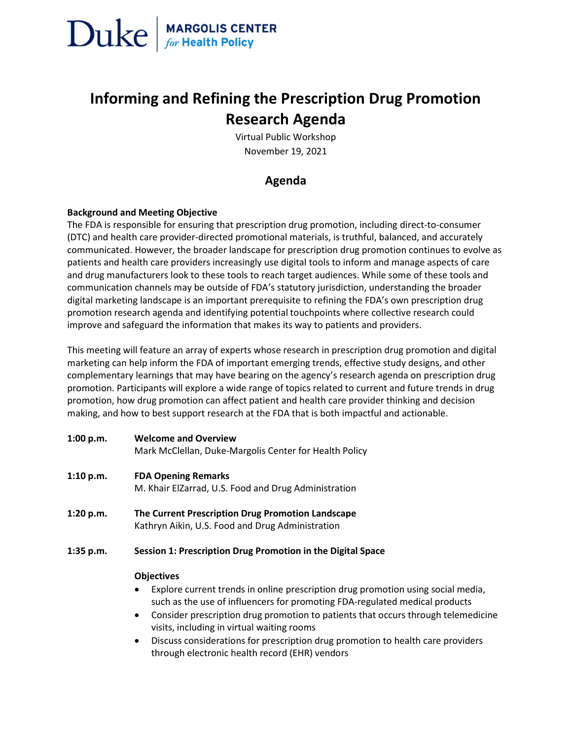

### Informing and Refining the Prescription Drug Promotion Research Agenda

Virtual Public Workshop November 19, 2021

### Agenda

#### Background and Meeting Objective

The FDA is responsible for ensuring that prescription drug promotion, including direct-to-consumer (DTC) and health care provider-directed promotional materials, is truthful, balanced, and accurately communicated. However, the broader landscape for prescription drug promotion continues to evolve as patients and health care providers increasingly use digital tools to inform and manage aspects of care and drug manufacturers look to these tools to reach target audiences. While some of these tools and communication channels may be outside of FDA's statutory jurisdiction, understanding the broader digital marketing landscape is an important prerequisite to refining the FDA's own prescription drug promotion research agenda and identifying potential touchpoints where collective research could improve and safeguard the information that makes its way to patients and providers.

This meeting will feature an array of experts whose research in prescription drug promotion and digital marketing can help inform the FDA of important emerging trends, effective study designs, and other complementary learnings that may have bearing on the agency's research agenda on prescription drug promotion. Participants will explore a wide range of topics related to current and future trends in drug promotion, how drug promotion can affect patient and health care provider thinking and decision making, and how to best support research at the FDA that is both impactful and actionable.

| 1:00 p.m. | <b>Welcome and Overview</b>                            |
|-----------|--------------------------------------------------------|
|           | Mark McClellan, Duke-Margolis Center for Health Policy |

- 1:10 p.m. FDA Opening Remarks M. Khair ElZarrad, U.S. Food and Drug Administration
- 1:20 p.m. The Current Prescription Drug Promotion Landscape Kathryn Aikin, U.S. Food and Drug Administration
- 1:35 p.m. Session 1: Prescription Drug Promotion in the Digital Space

#### **Objectives**

- Explore current trends in online prescription drug promotion using social media, such as the use of influencers for promoting FDA-regulated medical products
- Consider prescription drug promotion to patients that occurs through telemedicine visits, including in virtual waiting rooms
- Discuss considerations for prescription drug promotion to health care providers through electronic health record (EHR) vendors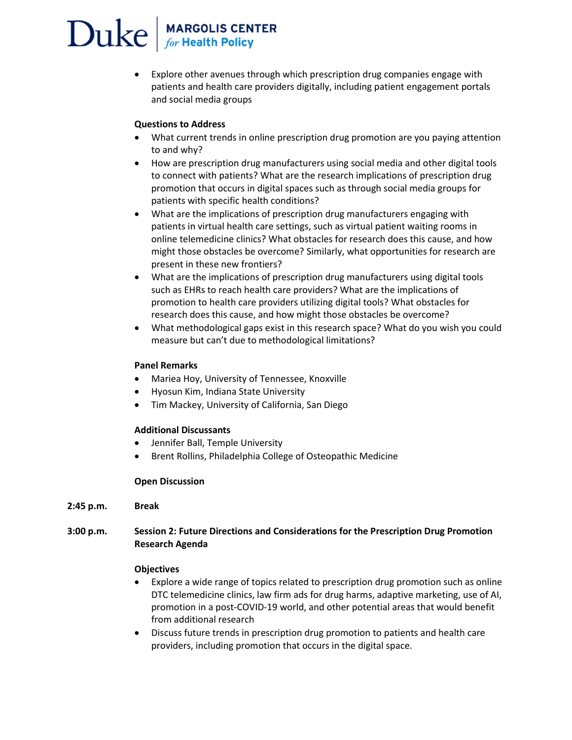# $\sum$ uke  $\int_{\text{for Health Policy}}^{\text{MARGOLIS CENTER}}$

 Explore other avenues through which prescription drug companies engage with patients and health care providers digitally, including patient engagement portals and social media groups

#### Questions to Address

- What current trends in online prescription drug promotion are you paying attention to and why?
- How are prescription drug manufacturers using social media and other digital tools to connect with patients? What are the research implications of prescription drug promotion that occurs in digital spaces such as through social media groups for patients with specific health conditions?
- What are the implications of prescription drug manufacturers engaging with patients in virtual health care settings, such as virtual patient waiting rooms in online telemedicine clinics? What obstacles for research does this cause, and how might those obstacles be overcome? Similarly, what opportunities for research are present in these new frontiers?
- What are the implications of prescription drug manufacturers using digital tools such as EHRs to reach health care providers? What are the implications of promotion to health care providers utilizing digital tools? What obstacles for research does this cause, and how might those obstacles be overcome?
- What methodological gaps exist in this research space? What do you wish you could measure but can't due to methodological limitations?

#### Panel Remarks

- Mariea Hoy, University of Tennessee, Knoxville
- Hyosun Kim, Indiana State University
- Tim Mackey, University of California, San Diego

#### Additional Discussants

- Jennifer Ball, Temple University
- Brent Rollins, Philadelphia College of Osteopathic Medicine

#### Open Discussion

2:45 p.m. Break

#### 3:00 p.m. Session 2: Future Directions and Considerations for the Prescription Drug Promotion Research Agenda

#### **Objectives**

- Explore a wide range of topics related to prescription drug promotion such as online DTC telemedicine clinics, law firm ads for drug harms, adaptive marketing, use of AI, promotion in a post-COVID-19 world, and other potential areas that would benefit from additional research
- Discuss future trends in prescription drug promotion to patients and health care providers, including promotion that occurs in the digital space.